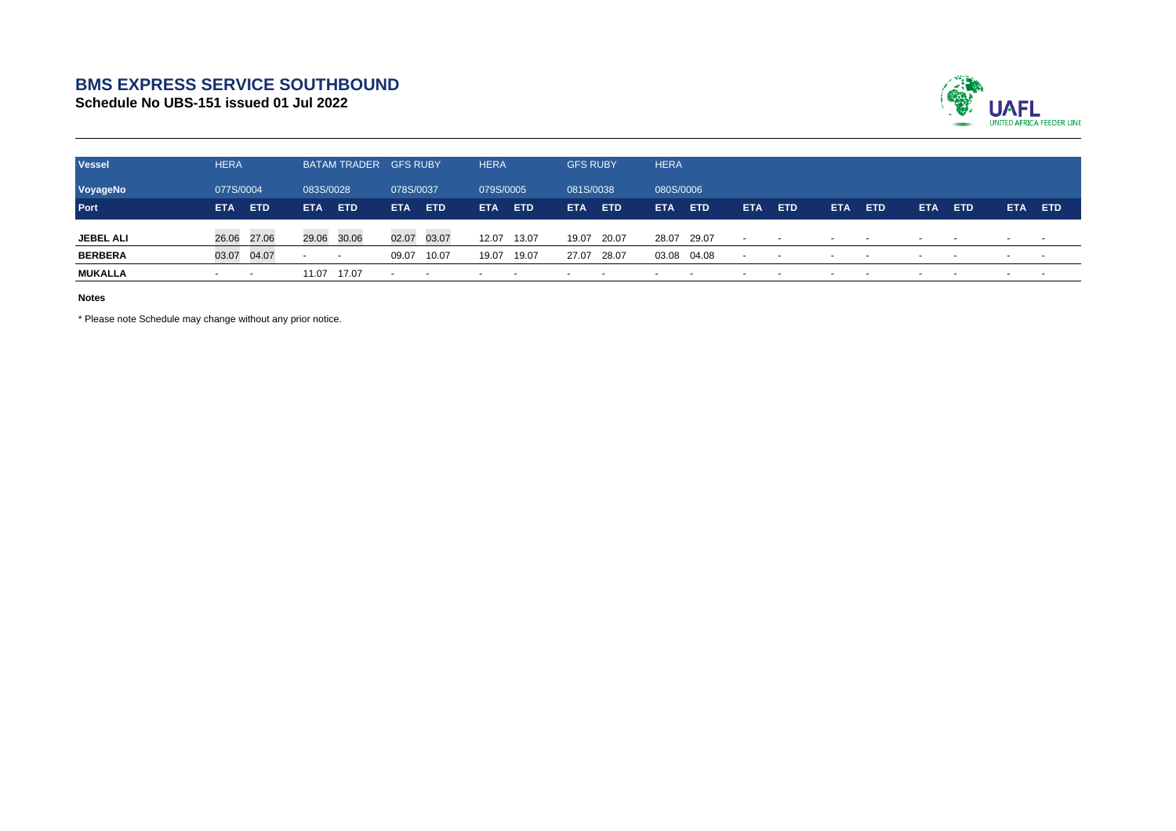## **BMS EXPRESS SERVICE SOUTHBOUND**

**Schedule No UBS-151 issued 01 Jul 2022**



| <b>Vessel</b>    | <b>HERA</b>              |                          | <b>BATAM TRADER</b>      |            | <b>GFS RUBY</b>          |            | <b>HERA</b> |                          | <b>GFS RUBY</b>          |            | <b>HERA</b> |            |            |            |                          |            |                          |                          |                          |            |
|------------------|--------------------------|--------------------------|--------------------------|------------|--------------------------|------------|-------------|--------------------------|--------------------------|------------|-------------|------------|------------|------------|--------------------------|------------|--------------------------|--------------------------|--------------------------|------------|
| VoyageNo         | 077S/0004                |                          | 083S/0028                |            | 078S/0037                |            | 079S/0005   |                          | 081S/0038                |            |             | 080S/0006  |            |            |                          |            |                          |                          |                          |            |
| Port             | <b>ETA</b>               | <b>ETD</b>               | <b>ETA</b>               | <b>ETD</b> | <b>ETA</b>               | <b>ETD</b> | <b>ETA</b>  | <b>ETD</b>               | <b>ETA</b>               | <b>ETD</b> | <b>ETA</b>  | <b>ETD</b> | <b>ETA</b> | <b>ETD</b> | <b>ETA</b>               | <b>ETD</b> | <b>ETA</b>               | <b>ETD</b>               | ETA .                    | <b>ETD</b> |
| <b>JEBEL ALI</b> | 26.06                    | 27.06                    | 29.06 30.06              |            | 02.07                    | 03.07      | 12.07       | 13.07                    | 19.07                    | 20.07      | 28.07       | 29.07      | $\sim$     | $\sim$     | $\overline{\phantom{a}}$ | $\sim$     | $\overline{\phantom{a}}$ | $\sim$                   | $\overline{\phantom{a}}$ |            |
| <b>BERBERA</b>   | 03.07                    | 04.07                    | $\overline{\phantom{a}}$ | $\sim$     | 09.07                    | 10.07      | 19.07       | 19.07                    | 27.07                    | 28.07      | 03.08 04.08 |            | $\sim$     | $\sim$     | $\sim$                   | $\sim$     | . .                      | $\sim$                   | $\sim$                   |            |
| <b>MUKALLA</b>   | $\overline{\phantom{0}}$ | $\overline{\phantom{a}}$ | 11.07                    | 17.07      | $\overline{\phantom{a}}$ | $\sim$     |             | $\overline{\phantom{a}}$ | $\overline{\phantom{a}}$ | $\sim$     |             |            |            |            |                          |            |                          | $\overline{\phantom{a}}$ | $\overline{\phantom{a}}$ |            |

**Notes**

\* Please note Schedule may change without any prior notice.